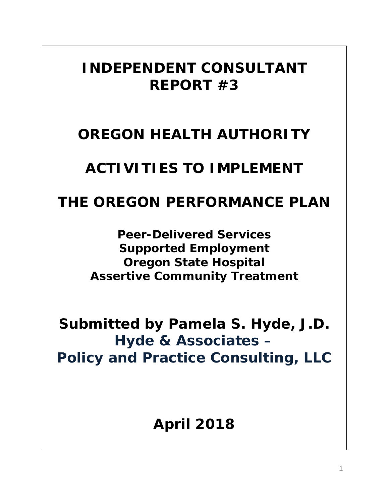# *INDEPENDENT CONSULTANT REPORT #3*

# *OREGON HEALTH AUTHORITY*

# *ACTIVITIES TO IMPLEMENT*

## *THE OREGON PERFORMANCE PLAN*

*Peer-Delivered Services Supported Employment Oregon State Hospital Assertive Community Treatment*

*Submitted by Pamela S. Hyde, J.D. Hyde & Associates – Policy and Practice Consulting, LLC*

*April 2018*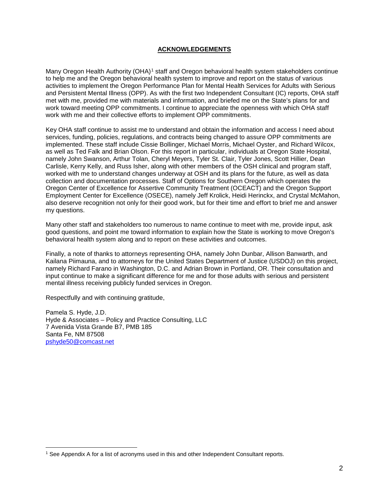## **ACKNOWLEDGEMENTS**

Many Oregon Health Authority (OHA)<sup>[1](#page-1-0)</sup> staff and Oregon behavioral health system stakeholders continue to help me and the Oregon behavioral health system to improve and report on the status of various activities to implement the Oregon Performance Plan for Mental Health Services for Adults with Serious and Persistent Mental Illness (OPP). As with the first two Independent Consultant (IC) reports, OHA staff met with me, provided me with materials and information, and briefed me on the State's plans for and work toward meeting OPP commitments. I continue to appreciate the openness with which OHA staff work with me and their collective efforts to implement OPP commitments.

Key OHA staff continue to assist me to understand and obtain the information and access I need about services, funding, policies, regulations, and contracts being changed to assure OPP commitments are implemented. These staff include Cissie Bollinger, Michael Morris, Michael Oyster, and Richard Wilcox, as well as Ted Falk and Brian Olson. For this report in particular, individuals at Oregon State Hospital, namely John Swanson, Arthur Tolan, Cheryl Meyers, Tyler St. Clair, Tyler Jones, Scott Hillier, Dean Carlisle, Kerry Kelly, and Russ Isher, along with other members of the OSH clinical and program staff, worked with me to understand changes underway at OSH and its plans for the future, as well as data collection and documentation processes. Staff of Options for Southern Oregon which operates the Oregon Center of Excellence for Assertive Community Treatment (OCEACT) and the Oregon Support Employment Center for Excellence (OSECE), namely Jeff Krolick, Heidi Herinckx, and Crystal McMahon, also deserve recognition not only for their good work, but for their time and effort to brief me and answer my questions.

Many other staff and stakeholders too numerous to name continue to meet with me, provide input, ask good questions, and point me toward information to explain how the State is working to move Oregon's behavioral health system along and to report on these activities and outcomes.

Finally, a note of thanks to attorneys representing OHA, namely John Dunbar, Allison Banwarth, and Kailana Piimauna, and to attorneys for the United States Department of Justice (USDOJ) on this project, namely Richard Farano in Washington, D.C. and Adrian Brown in Portland, OR. Their consultation and input continue to make a significant difference for me and for those adults with serious and persistent mental illness receiving publicly funded services in Oregon.

Respectfully and with continuing gratitude,

Pamela S. Hyde, J.D. Hyde & Associates – Policy and Practice Consulting, LLC 7 Avenida Vista Grande B7, PMB 185 Santa Fe, NM 87508 [pshyde50@comcast.net](mailto:pshyde50@comcast.net)

<span id="page-1-0"></span> <sup>1</sup> See Appendix A for a list of acronyms used in this and other Independent Consultant reports.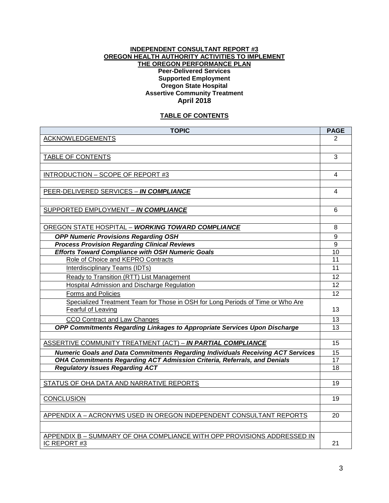#### **INDEPENDENT CONSULTANT REPORT #3 OREGON HEALTH AUTHORITY ACTIVITIES TO IMPLEMENT THE OREGON PERFORMANCE PLAN Peer-Delivered Services Supported Employment Oregon State Hospital Assertive Community Treatment April 2018**

## **TABLE OF CONTENTS**

| <b>TOPIC</b>                                                                                       | <b>PAGE</b>     |
|----------------------------------------------------------------------------------------------------|-----------------|
| <b>ACKNOWLEDGEMENTS</b>                                                                            | 2               |
|                                                                                                    |                 |
| TABLE OF CONTENTS                                                                                  | 3               |
|                                                                                                    |                 |
| INTRODUCTION - SCOPE OF REPORT #3                                                                  | 4               |
|                                                                                                    |                 |
| PEER-DELIVERED SERVICES - IN COMPLIANCE                                                            | 4               |
|                                                                                                    |                 |
| SUPPORTED EMPLOYMENT - IN COMPLIANCE                                                               | 6               |
| OREGON STATE HOSPITAL - WORKING TOWARD COMPLIANCE                                                  | 8               |
|                                                                                                    | 9               |
| <b>OPP Numeric Provisions Regarding OSH</b><br><b>Process Provision Regarding Clinical Reviews</b> | 9               |
| <b>Efforts Toward Compliance with OSH Numeric Goals</b>                                            | 10              |
| Role of Choice and KEPRO Contracts                                                                 | 11              |
| <b>Interdisciplinary Teams (IDTs)</b>                                                              | $\overline{11}$ |
| Ready to Transition (RTT) List Management                                                          | 12              |
| Hospital Admission and Discharge Regulation                                                        | $\overline{12}$ |
| Forms and Policies                                                                                 | 12              |
| Specialized Treatment Team for Those in OSH for Long Periods of Time or Who Are                    |                 |
| Fearful of Leaving                                                                                 | 13              |
| CCO Contract and Law Changes                                                                       | 13              |
| OPP Commitments Regarding Linkages to Appropriate Services Upon Discharge                          | 13              |
|                                                                                                    |                 |
| ASSERTIVE COMMUNITY TREATMENT (ACT) - IN PARTIAL COMPLIANCE                                        | 15              |
| <b>Numeric Goals and Data Commitments Regarding Individuals Receiving ACT Services</b>             | 15              |
| OHA Commitments Regarding ACT Admission Criteria, Referrals, and Denials                           | 17              |
| <b>Regulatory Issues Regarding ACT</b>                                                             | 18              |
|                                                                                                    |                 |
| STATUS OF OHA DATA AND NARRATIVE REPORTS                                                           | 19              |
| <b>CONCLUSION</b>                                                                                  | 19              |
|                                                                                                    |                 |
| APPENDIX A - ACRONYMS USED IN OREGON INDEPENDENT CONSULTANT REPORTS                                | 20              |
|                                                                                                    |                 |
| APPENDIX B - SUMMARY OF OHA COMPLIANCE WITH OPP PROVISIONS ADDRESSED IN<br>IC REPORT #3            | 21              |
|                                                                                                    |                 |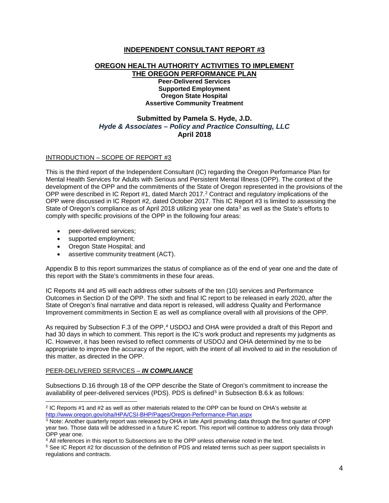## **INDEPENDENT CONSULTANT REPORT #3**

#### **OREGON HEALTH AUTHORITY ACTIVITIES TO IMPLEMENT THE OREGON PERFORMANCE PLAN Peer-Delivered Services Supported Employment Oregon State Hospital**

**Assertive Community Treatment**

## **Submitted by Pamela S. Hyde, J.D.** *Hyde & Associates – Policy and Practice Consulting, LLC* **April 2018**

### INTRODUCTION – SCOPE OF REPORT #3

This is the third report of the Independent Consultant (IC) regarding the Oregon Performance Plan for Mental Health Services for Adults with Serious and Persistent Mental Illness (OPP). The context of the development of the OPP and the commitments of the State of Oregon represented in the provisions of the OPP were described in IC Report #1, dated March [2](#page-3-0)017.<sup>2</sup> Contract and regulatory implications of the OPP were discussed in IC Report #2, dated October 2017. This IC Report #3 is limited to assessing the State of Oregon's compliance as of April 2018 utilizing year one data<sup>[3](#page-3-1)</sup> as well as the State's efforts to comply with specific provisions of the OPP in the following four areas:

- peer-delivered services;
- supported employment;
- Oregon State Hospital; and
- assertive community treatment (ACT).

Appendix B to this report summarizes the status of compliance as of the end of year one and the date of this report with the State's commitments in these four areas.

IC Reports #4 and #5 will each address other subsets of the ten (10) services and Performance Outcomes in Section D of the OPP. The sixth and final IC report to be released in early 2020, after the State of Oregon's final narrative and data report is released, will address Quality and Performance Improvement commitments in Section E as well as compliance overall with all provisions of the OPP.

As required by Subsection F.3 of the OPP,<sup>[4](#page-3-2)</sup> USDOJ and OHA were provided a draft of this Report and had 30 days in which to comment. This report is the IC's work product and represents my judgments as IC. However, it has been revised to reflect comments of USDOJ and OHA determined by me to be appropriate to improve the accuracy of the report, with the intent of all involved to aid in the resolution of this matter, as directed in the OPP.

#### PEER-DELIVERED SERVICES – *IN COMPLIANCE*

Subsections D.16 through 18 of the OPP describe the State of Oregon's commitment to increase the availability of peer-delivered services (PDS). PDS is defined<sup>[5](#page-3-3)</sup> in Subsection B.6.k as follows:

<span id="page-3-0"></span> $2$  IC Reports #1 and #2 as well as other materials related to the OPP can be found on OHA's website at <http://www.oregon.gov/oha/HPA/CSI-BHP/Pages/Oregon-Performance-Plan.aspx>

<span id="page-3-1"></span> $3$  Note: Another quarterly report was released by OHA in late April providing data through the first quarter of OPP year two. Those data will be addressed in a future IC report. This report will continue to address only data through OPP year one.

<span id="page-3-2"></span><sup>4</sup> All references in this report to Subsections are to the OPP unless otherwise noted in the text.

<span id="page-3-3"></span><sup>5</sup> See IC Report #2 for discussion of the definition of PDS and related terms such as peer support specialists in regulations and contracts.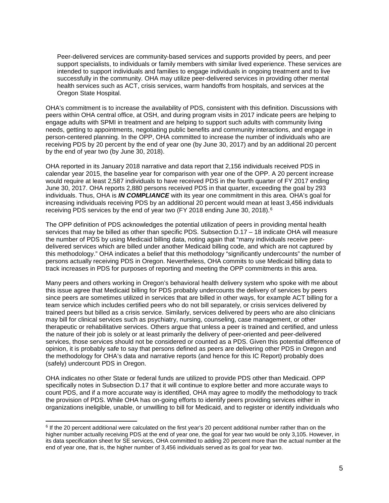Peer-delivered services are community-based services and supports provided by peers, and peer support specialists, to individuals or family members with similar lived experience. These services are intended to support individuals and families to engage individuals in ongoing treatment and to live successfully in the community. OHA may utilize peer-delivered services in providing other mental health services such as ACT, crisis services, warm handoffs from hospitals, and services at the Oregon State Hospital.

OHA's commitment is to increase the availability of PDS, consistent with this definition. Discussions with peers within OHA central office, at OSH, and during program visits in 2017 indicate peers are helping to engage adults with SPMI in treatment and are helping to support such adults with community living needs, getting to appointments, negotiating public benefits and community interactions, and engage in person-centered planning. In the OPP, OHA committed to increase the number of individuals who are receiving PDS by 20 percent by the end of year one (by June 30, 2017) and by an additional 20 percent by the end of year two (by June 30, 2018).

OHA reported in its January 2018 narrative and data report that 2,156 individuals received PDS in calendar year 2015, the baseline year for comparison with year one of the OPP. A 20 percent increase would require at least 2,587 individuals to have received PDS in the fourth quarter of FY 2017 ending June 30, 2017. OHA reports 2,880 persons received PDS in that quarter, exceeding the goal by 293 individuals. Thus, OHA is *IN COMPLIANCE* with its year one commitment in this area. OHA's goal for increasing individuals receiving PDS by an additional 20 percent would mean at least 3,456 individuals receiving PDS services by the end of year two (FY 2018 ending June 30, 2018).[6](#page-4-0)

The OPP definition of PDS acknowledges the potential utilization of peers in providing mental health services that may be billed as other than specific PDS. Subsection D.17 – 18 indicate OHA will measure the number of PDS by using Medicaid billing data, noting again that "many individuals receive peerdelivered services which are billed under another Medicaid billing code, and which are not captured by this methodology." OHA indicates a belief that this methodology "significantly undercounts" the number of persons actually receiving PDS in Oregon. Nevertheless, OHA commits to use Medicaid billing data to track increases in PDS for purposes of reporting and meeting the OPP commitments in this area.

Many peers and others working in Oregon's behavioral health delivery system who spoke with me about this issue agree that Medicaid billing for PDS probably undercounts the delivery of services by peers since peers are sometimes utilized in services that are billed in other ways, for example ACT billing for a team service which includes certified peers who do not bill separately, or crisis services delivered by trained peers but billed as a crisis service. Similarly, services delivered by peers who are also clinicians may bill for clinical services such as psychiatry, nursing, counseling, case management, or other therapeutic or rehabilitative services. Others argue that unless a peer is trained and certified, and unless the nature of their job is solely or at least primarily the delivery of peer-oriented and peer-delivered services, those services should not be considered or counted as a PDS. Given this potential difference of opinion, it is probably safe to say that persons defined as peers are delivering other PDS in Oregon and the methodology for OHA's data and narrative reports (and hence for this IC Report) probably does (safely) undercount PDS in Oregon.

OHA indicates no other State or federal funds are utilized to provide PDS other than Medicaid. OPP specifically notes in Subsection D.17 that it will continue to explore better and more accurate ways to count PDS, and if a more accurate way is identified, OHA may agree to modify the methodology to track the provision of PDS. While OHA has on-going efforts to identify peers providing services either in organizations ineligible, unable, or unwilling to bill for Medicaid, and to register or identify individuals who

<span id="page-4-0"></span> $6$  If the 20 percent additional were calculated on the first year's 20 percent additional number rather than on the higher number actually receiving PDS at the end of year one, the goal for year two would be only 3,105. However, in its data specification sheet for SE services, OHA committed to adding 20 percent more than the actual number at the end of year one, that is, the higher number of 3,456 individuals served as its goal for year two.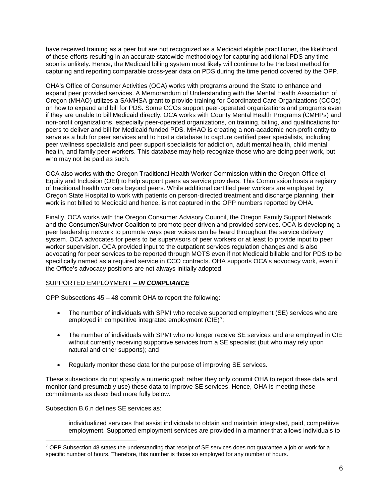have received training as a peer but are not recognized as a Medicaid eligible practitioner, the likelihood of these efforts resulting in an accurate statewide methodology for capturing additional PDS any time soon is unlikely. Hence, the Medicaid billing system most likely will continue to be the best method for capturing and reporting comparable cross-year data on PDS during the time period covered by the OPP.

OHA's Office of Consumer Activities (OCA) works with programs around the State to enhance and expand peer provided services. A Memorandum of Understanding with the Mental Health Association of Oregon (MHAO) utilizes a SAMHSA grant to provide training for Coordinated Care Organizations (CCOs) on how to expand and bill for PDS. Some CCOs support peer-operated organizations and programs even if they are unable to bill Medicaid directly. OCA works with County Mental Health Programs (CMHPs) and non-profit organizations, especially peer-operated organizations, on training, billing, and qualifications for peers to deliver and bill for Medicaid funded PDS. MHAO is creating a non-academic non-profit entity to serve as a hub for peer services and to host a database to capture certified peer specialists, including peer wellness specialists and peer support specialists for addiction, adult mental health, child mental health, and family peer workers. This database may help recognize those who are doing peer work, but who may not be paid as such.

OCA also works with the Oregon Traditional Health Worker Commission within the Oregon Office of Equity and Inclusion (OEI) to help support peers as service providers. This Commission hosts a registry of traditional health workers beyond peers. While additional certified peer workers are employed by Oregon State Hospital to work with patients on person-directed treatment and discharge planning, their work is not billed to Medicaid and hence, is not captured in the OPP numbers reported by OHA.

Finally, OCA works with the Oregon Consumer Advisory Council, the Oregon Family Support Network and the Consumer/Survivor Coalition to promote peer driven and provided services. OCA is developing a peer leadership network to promote ways peer voices can be heard throughout the service delivery system. OCA advocates for peers to be supervisors of peer workers or at least to provide input to peer worker supervision. OCA provided input to the outpatient services regulation changes and is also advocating for peer services to be reported through MOTS even if not Medicaid billable and for PDS to be specifically named as a required service in CCO contracts. OHA supports OCA's advocacy work, even if the Office's advocacy positions are not always initially adopted.

## SUPPORTED EMPLOYMENT – *IN COMPLIANCE*

OPP Subsections 45 – 48 commit OHA to report the following:

- The number of individuals with SPMI who receive supported employment (SE) services who are employed in competitive integrated employment  $(CIE)^7$  $(CIE)^7$ ;
- The number of individuals with SPMI who no longer receive SE services and are employed in CIE without currently receiving supportive services from a SE specialist (but who may rely upon natural and other supports); and
- Regularly monitor these data for the purpose of improving SE services.

These subsections do not specify a numeric goal; rather they only commit OHA to report these data and monitor (and presumably use) these data to improve SE services. Hence, OHA is meeting these commitments as described more fully below.

Subsection B.6.n defines SE services as:

individualized services that assist individuals to obtain and maintain integrated, paid, competitive employment. Supported employment services are provided in a manner that allows individuals to

<span id="page-5-0"></span> $7$  OPP Subsection 48 states the understanding that receipt of SE services does not guarantee a job or work for a specific number of hours. Therefore, this number is those so employed for any number of hours.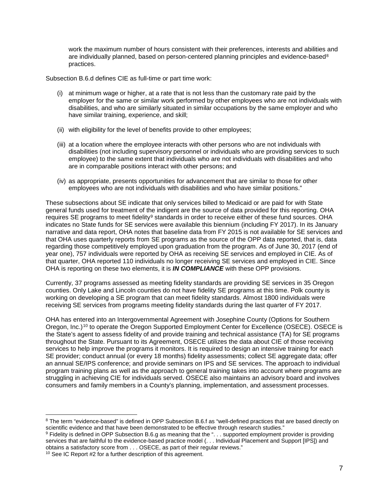work the maximum number of hours consistent with their preferences, interests and abilities and are individually planned, based on person-centered planning principles and evidence-based<sup>[8](#page-6-0)</sup> practices.

Subsection B.6.d defines CIE as full-time or part time work:

- (i) at minimum wage or higher, at a rate that is not less than the customary rate paid by the employer for the same or similar work performed by other employees who are not individuals with disabilities, and who are similarly situated in similar occupations by the same employer and who have similar training, experience, and skill;
- (ii) with eligibility for the level of benefits provide to other employees;
- (iii) at a location where the employee interacts with other persons who are not individuals with disabilities (not including supervisory personnel or individuals who are providing services to such employee) to the same extent that individuals who are not individuals with disabilities and who are in comparable positions interact with other persons; and
- (iv) as appropriate, presents opportunities for advancement that are similar to those for other employees who are not individuals with disabilities and who have similar positions."

These subsections about SE indicate that only services billed to Medicaid or are paid for with State general funds used for treatment of the indigent are the source of data provided for this reporting. OHA requires SE programs to meet fidelity<sup>[9](#page-6-1)</sup> standards in order to receive either of these fund sources. OHA indicates no State funds for SE services were available this biennium (including FY 2017). In its January narrative and data report, OHA notes that baseline data from FY 2015 is not available for SE services and that OHA uses quarterly reports from SE programs as the source of the OPP data reported, that is, data regarding those competitively employed upon graduation from the program. As of June 30, 2017 (end of year one), 757 individuals were reported by OHA as receiving SE services and employed in CIE. As of that quarter, OHA reported 110 individuals no longer receiving SE services and employed in CIE. Since OHA is reporting on these two elements, it is *IN COMPLIANCE* with these OPP provisions.

Currently, 37 programs assessed as meeting fidelity standards are providing SE services in 35 Oregon counties. Only Lake and Lincoln counties do not have fidelity SE programs at this time. Polk county is working on developing a SE program that can meet fidelity standards. Almost 1800 individuals were receiving SE services from programs meeting fidelity standards during the last quarter of FY 2017.

OHA has entered into an Intergovernmental Agreement with Josephine County (Options for Southern Oregon, Inc.)[10](#page-6-2) to operate the Oregon Supported Employment Center for Excellence (OSECE). OSECE is the State's agent to assess fidelity of and provide training and technical assistance (TA) for SE programs throughout the State. Pursuant to its Agreement, OSECE utilizes the data about CIE of those receiving services to help improve the programs it monitors. It is required to design an intensive training for each SE provider; conduct annual (or every 18 months) fidelity assessments; collect SE aggregate data; offer an annual SE/IPS conference; and provide seminars on IPS and SE services. The approach to individual program training plans as well as the approach to general training takes into account where programs are struggling in achieving CIE for individuals served. OSECE also maintains an advisory board and involves consumers and family members in a County's planning, implementation, and assessment processes.

<span id="page-6-0"></span><sup>&</sup>lt;sup>8</sup> The term "evidence-based" is defined in OPP Subsection B.6.f as "well-defined practices that are based directly on scientific evidence and that have been demonstrated to be effective through research studies."

<span id="page-6-1"></span><sup>&</sup>lt;sup>9</sup> Fidelity is defined in OPP Subsection B.6.g as meaning that the ". . . supported employment provider is providing services that are faithful to the evidence-based practice model (... Individual Placement and Support [IPS]) and obtains a satisfactory score from . . . OSECE, as part of their regular reviews."

<span id="page-6-2"></span><sup>10</sup> See IC Report #2 for a further description of this agreement.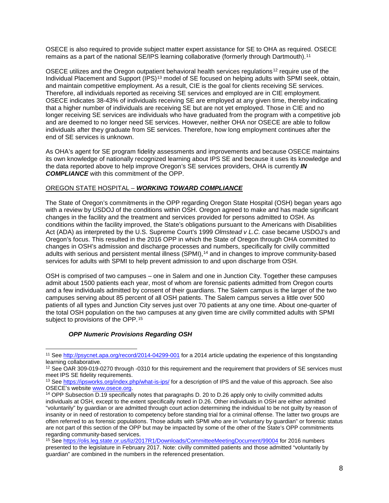OSECE is also required to provide subject matter expert assistance for SE to OHA as required. OSECE remains as a part of the national SE/IPS learning collaborative (formerly through Dartmouth).[11](#page-7-0)

OSECE utilizes and the Oregon outpatient behavioral health services regulations<sup>[12](#page-7-1)</sup> require use of the Individual Placement and Support (IPS)<sup>[13](#page-7-2)</sup> model of SE focused on helping adults with SPMI seek, obtain, and maintain competitive employment. As a result, CIE is the goal for clients receiving SE services. Therefore, all individuals reported as receiving SE services and employed are in CIE employment. OSECE indicates 38-43% of individuals receiving SE are employed at any given time, thereby indicating that a higher number of individuals are receiving SE but are not yet employed. Those in CIE and no longer receiving SE services are individuals who have graduated from the program with a competitive job and are deemed to no longer need SE services. However, neither OHA nor OSECE are able to follow individuals after they graduate from SE services. Therefore, how long employment continues after the end of SE services is unknown.

As OHA's agent for SE program fidelity assessments and improvements and because OSECE maintains its own knowledge of nationally recognized learning about IPS SE and because it uses its knowledge and the data reported above to help improve Oregon's SE services providers, OHA is currently *IN COMPLIANCE* with this commitment of the OPP.

## OREGON STATE HOSPITAL – *WORKING TOWARD COMPLIANCE*

The State of Oregon's commitments in the OPP regarding Oregon State Hospital (OSH) began years ago with a review by USDOJ of the conditions within OSH. Oregon agreed to make and has made significant changes in the facility and the treatment and services provided for persons admitted to OSH. As conditions within the facility improved, the State's obligations pursuant to the Americans with Disabilities Act (ADA) as interpreted by the U.S. Supreme Court's 1999 *Olmstead v L.C.* case became USDOJ's and Oregon's focus. This resulted in the 2016 OPP in which the State of Oregon through OHA committed to changes in OSH's admission and discharge processes and numbers, specifically for civilly committed adults with serious and persistent mental illness (SPMI),<sup>[14](#page-7-3)</sup> and in changes to improve community-based services for adults with SPMI to help prevent admission to and upon discharge from OSH.

OSH is comprised of two campuses – one in Salem and one in Junction City. Together these campuses admit about 1500 patients each year, most of whom are forensic patients admitted from Oregon courts and a few individuals admitted by consent of their guardians. The Salem campus is the larger of the two campuses serving about 85 percent of all OSH patients. The Salem campus serves a little over 500 patients of all types and Junction City serves just over 70 patients at any one time. About one-quarter of the total OSH population on the two campuses at any given time are civilly committed adults with SPMI subject to provisions of the OPP.<sup>[15](#page-7-4)</sup>

## *OPP Numeric Provisions Regarding OSH*

<span id="page-7-0"></span> <sup>11</sup> Se[e http://psycnet.apa.org/record/2014-04299-001](http://psycnet.apa.org/record/2014-04299-001) for a 2014 article updating the experience of this longstanding learning collaborative.

<span id="page-7-1"></span><sup>&</sup>lt;sup>12</sup> See OAR 309-019-0270 through -0310 for this requirement and the requirement that providers of SE services must meet IPS SE fidelity requirements.

<span id="page-7-2"></span><sup>&</sup>lt;sup>13</sup> Se[e https://ipsworks.org/index.php/what-is-ips/](https://ipsworks.org/index.php/what-is-ips/) for a description of IPS and the value of this approach. See also<br>OSECE's website www.osece.org.

<span id="page-7-3"></span><sup>&</sup>lt;sup>14</sup> OPP Subsection D.19 specifically notes that paragraphs D. 20 to D.26 apply only to civilly committed adults individuals at OSH, except to the extent specifically noted in D.26. Other individuals in OSH are either admitted "voluntarily" by guardian or are admitted through court action determining the individual to be not guilty by reason of insanity or in need of restoration to competency before standing trial for a criminal offense. The latter two groups are often referred to as forensic populations. Those adults with SPMI who are in "voluntary by guardian" or forensic status are not part of this section of the OPP but may be impacted by some of the other of the State's OPP commitments regarding community-based services.

<span id="page-7-4"></span><sup>15</sup> Se[e https://olis.leg.state.or.us/liz/2017R1/Downloads/CommitteeMeetingDocument/99004](https://olis.leg.state.or.us/liz/2017R1/Downloads/CommitteeMeetingDocument/99004) for 2016 numbers presented to the legislature in February 2017. Note: civilly committed patients and those admitted "voluntarily by guardian" are combined in the numbers in the referenced presentation.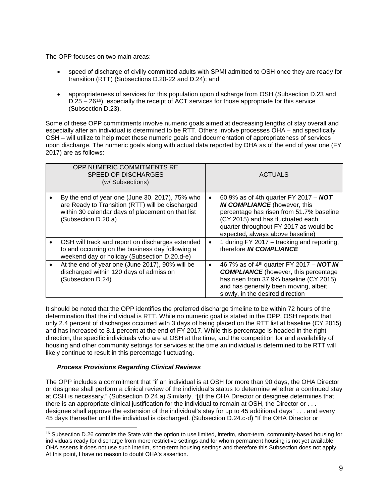The OPP focuses on two main areas:

- speed of discharge of civilly committed adults with SPMI admitted to OSH once they are ready for transition (RTT) (Subsections D.20-22 and D.24); and
- appropriateness of services for this population upon discharge from OSH (Subsection D.23 and  $D.25 - 26^{16}$  $D.25 - 26^{16}$  $D.25 - 26^{16}$ ), especially the receipt of ACT services for those appropriate for this service (Subsection D.23).

Some of these OPP commitments involve numeric goals aimed at decreasing lengths of stay overall and especially after an individual is determined to be RTT. Others involve processes OHA – and specifically OSH – will utilize to help meet these numeric goals and documentation of appropriateness of services upon discharge. The numeric goals along with actual data reported by OHA as of the end of year one (FY 2017) are as follows:

|           | OPP NUMERIC COMMITMENTS RE<br><b>SPEED OF DISCHARGES</b><br>(w/ Subsections)                                                                                                    |           | ACTUALS                                                                                                                                                                                                                                     |
|-----------|---------------------------------------------------------------------------------------------------------------------------------------------------------------------------------|-----------|---------------------------------------------------------------------------------------------------------------------------------------------------------------------------------------------------------------------------------------------|
|           | By the end of year one (June 30, 2017), 75% who<br>are Ready to Transition (RTT) will be discharged<br>within 30 calendar days of placement on that list<br>(Subsection D.20.a) | $\bullet$ | 60.9% as of 4th quarter FY 2017 - NOT<br><b>IN COMPLIANCE</b> (however, this<br>percentage has risen from 51.7% baseline<br>(CY 2015) and has fluctuated each<br>quarter throughout FY 2017 as would be<br>expected, always above baseline) |
|           | OSH will track and report on discharges extended<br>to and occurring on the business day following a<br>weekend day or holiday (Subsection D.20.d-e)                            | $\bullet$ | 1 during FY 2017 - tracking and reporting,<br>therefore IN COMPLIANCE                                                                                                                                                                       |
| $\bullet$ | At the end of year one (June 2017), 90% will be<br>discharged within 120 days of admission<br>(Subsection D.24)                                                                 | $\bullet$ | 46.7% as of 4 <sup>th</sup> quarter FY 2017 - <b>NOT IN</b><br><b>COMPLIANCE</b> (however, this percentage<br>has risen from 37.9% baseline (CY 2015)<br>and has generally been moving, albeit<br>slowly, in the desired direction          |

It should be noted that the OPP identifies the preferred discharge timeline to be within 72 hours of the determination that the individual is RTT. While no numeric goal is stated in the OPP, OSH reports that only 2.4 percent of discharges occurred with 3 days of being placed on the RTT list at baseline (CY 2015) and has increased to 8.1 percent at the end of FY 2017. While this percentage is headed in the right direction, the specific individuals who are at OSH at the time, and the competition for and availability of housing and other community settings for services at the time an individual is determined to be RTT will likely continue to result in this percentage fluctuating.

## *Process Provisions Regarding Clinical Reviews*

The OPP includes a commitment that "if an individual is at OSH for more than 90 days, the OHA Director or designee shall perform a clinical review of the individual's status to determine whether a continued stay at OSH is necessary." (Subsection D.24.a) Similarly, "[i]f the OHA Director or designee determines that there is an appropriate clinical justification for the individual to remain at OSH, the Director or . . . designee shall approve the extension of the individual's stay for up to 45 additional days" . . . and every 45 days thereafter until the individual is discharged. (Subsection D.24.c-d) "If the OHA Director or

<span id="page-8-0"></span> <sup>16</sup> Subsection D.26 commits the State with the option to use limited, interim, short-term, community-based housing for individuals ready for discharge from more restrictive settings and for whom permanent housing is not yet available. OHA asserts it does not use such interim, short-term housing settings and therefore this Subsection does not apply. At this point, I have no reason to doubt OHA's assertion.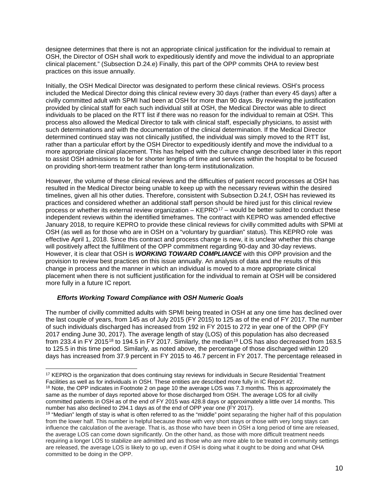designee determines that there is not an appropriate clinical justification for the individual to remain at OSH, the Director of OSH shall work to expeditiously identify and move the individual to an appropriate clinical placement." (Subsection D.24.e) Finally, this part of the OPP commits OHA to review best practices on this issue annually.

Initially, the OSH Medical Director was designated to perform these clinical reviews. OSH's process included the Medical Director doing this clinical review every 30 days (rather than every 45 days) after a civilly committed adult with SPMI had been at OSH for more than 90 days. By reviewing the justification provided by clinical staff for each such individual still at OSH, the Medical Director was able to direct individuals to be placed on the RTT list if there was no reason for the individual to remain at OSH. This process also allowed the Medical Director to talk with clinical staff, especially physicians, to assist with such determinations and with the documentation of the clinical determination. If the Medical Director determined continued stay was not clinically justified, the individual was simply moved to the RTT list, rather than a particular effort by the OSH Director to expeditiously identify and move the individual to a more appropriate clinical placement. This has helped with the culture change described later in this report to assist OSH admissions to be for shorter lengths of time and services within the hospital to be focused on providing short-term treatment rather than long-term institutionalization.

However, the volume of these clinical reviews and the difficulties of patient record processes at OSH has resulted in the Medical Director being unable to keep up with the necessary reviews within the desired timelines, given all his other duties. Therefore, consistent with Subsection D.24.f, OSH has reviewed its practices and considered whether an additional staff person should be hired just for this clinical review process or whether its external review organization  $-$  KEPRO<sup>[17](#page-9-0)</sup> – would be better suited to conduct these independent reviews within the identified timeframes. The contract with KEPRO was amended effective January 2018, to require KEPRO to provide these clinical reviews for civilly committed adults with SPMI at OSH (as well as for those who are in OSH on a "voluntary by guardian" status). This KEPRO role was effective April 1, 2018. Since this contract and process change is new, it is unclear whether this change will positively affect the fulfillment of the OPP commitment regarding 90-day and 30-day reviews. However, it is clear that OSH is *WORKING TOWARD COMPLIANCE* with this OPP provision and the provision to review best practices on this issue annually. An analysis of data and the results of this change in process and the manner in which an individual is moved to a more appropriate clinical placement when there is not sufficient justification for the individual to remain at OSH will be considered more fully in a future IC report.

#### *Efforts Working Toward Compliance with OSH Numeric Goals*

The number of civilly committed adults with SPMI being treated in OSH at any one time has declined over the last couple of years, from 145 as of July 2015 (FY 2015) to 125 as of the end of FY 2017. The number of such individuals discharged has increased from 192 in FY 2015 to 272 in year one of the OPP (FY 2017 ending June 30, 2017). The average length of stay (LOS) of this population has also decreased from 233.4 in FY 2015<sup>[18](#page-9-1)</sup> to [19](#page-9-2)4.5 in FY 2017. Similarly, the median<sup>19</sup> LOS has also decreased from 163.5 to 125.5 in this time period. Similarly, as noted above, the percentage of those discharged within 120 days has increased from 37.9 percent in FY 2015 to 46.7 percent in FY 2017. The percentage released in

number has also declined to 294.1 days as of the end of OPP year one (FY 2017).

<span id="page-9-1"></span><span id="page-9-0"></span> <sup>17</sup> KEPRO is the organization that does continuing stay reviews for individuals in Secure Residential Treatment Facilities as well as for individuals in OSH. These entities are described more fully in IC Report #2. <sup>18</sup> Note, the OPP indicates in Footnote 2 on page 10 the average LOS was 7.3 months. This is approximately the same as the number of days reported above for those discharged from OSH. The average LOS for all civilly committed patients in OSH as of the end of FY 2015 was 428.8 days or approximately a little over 14 months. This

<span id="page-9-2"></span><sup>&</sup>lt;sup>19</sup> "Median" length of stay is what is often referred to as the "middle" point separating the higher half of this population from the lower half. This number is helpful because those with very short stays or those with very long stays can influence the calculation of the average. That is, as those who have been in OSH a long period of time are released, the average LOS can come down significantly. On the other hand, as those with more difficult treatment needs requiring a longer LOS to stabilize are admitted and as those who are more able to be treated in community settings are released, the average LOS is likely to go up, even if OSH is doing what it ought to be doing and what OHA committed to be doing in the OPP.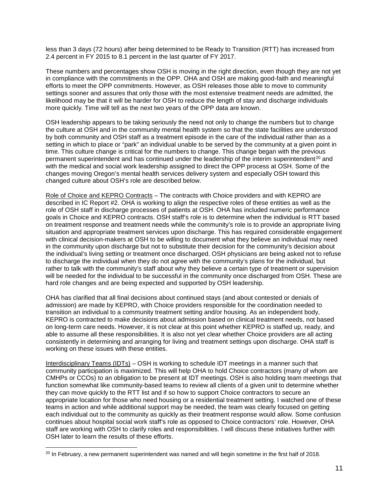less than 3 days (72 hours) after being determined to be Ready to Transition (RTT) has increased from 2.4 percent in FY 2015 to 8.1 percent in the last quarter of FY 2017.

These numbers and percentages show OSH is moving in the right direction, even though they are not yet in compliance with the commitments in the OPP. OHA and OSH are making good-faith and meaningful efforts to meet the OPP commitments. However, as OSH releases those able to move to community settings sooner and assures that only those with the most extensive treatment needs are admitted, the likelihood may be that it will be harder for OSH to reduce the length of stay and discharge individuals more quickly. Time will tell as the next two years of the OPP data are known.

OSH leadership appears to be taking seriously the need not only to change the numbers but to change the culture at OSH and in the community mental health system so that the state facilities are understood by both community and OSH staff as a treatment episode in the care of the individual rather than as a setting in which to place or "park" an individual unable to be served by the community at a given point in time. This culture change is critical for the numbers to change. This change began with the previous permanent superintendent and has continued under the leadership of the interim superintendent<sup>[20](#page-10-0)</sup> and with the medical and social work leadership assigned to direct the OPP process at OSH. Some of the changes moving Oregon's mental health services delivery system and especially OSH toward this changed culture about OSH's role are described below.

Role of Choice and KEPRO Contracts - The contracts with Choice providers and with KEPRO are described in IC Report #2. OHA is working to align the respective roles of these entities as well as the role of OSH staff in discharge processes of patients at OSH. OHA has included numeric performance goals in Choice and KEPRO contracts. OSH staff's role is to determine when the individual is RTT based on treatment response and treatment needs while the community's role is to provide an appropriate living situation and appropriate treatment services upon discharge. This has required considerable engagement with clinical decision-makers at OSH to be willing to document what they believe an individual may need in the community upon discharge but not to substitute their decision for the community's decision about the individual's living setting or treatment once discharged. OSH physicians are being asked not to refuse to discharge the individual when they do not agree with the community's plans for the individual, but rather to talk with the community's staff about why they believe a certain type of treatment or supervision will be needed for the individual to be successful in the community once discharged from OSH. These are hard role changes and are being expected and supported by OSH leadership.

OHA has clarified that all final decisions about continued stays (and about contested or denials of admission) are made by KEPRO, with Choice providers responsible for the coordination needed to transition an individual to a community treatment setting and/or housing. As an independent body, KEPRO is contracted to make decisions about admission based on clinical treatment needs, not based on long-term care needs. However, it is not clear at this point whether KEPRO is staffed up, ready, and able to assume all these responsibilities. It is also not yet clear whether Choice providers are all acting consistently in determining and arranging for living and treatment settings upon discharge. OHA staff is working on these issues with these entities.

Interdisciplinary Teams (IDTs) – OSH is working to schedule IDT meetings in a manner such that community participation is maximized. This will help OHA to hold Choice contractors (many of whom are CMHPs or CCOs) to an obligation to be present at IDT meetings. OSH is also holding team meetings that function somewhat like community-based teams to review all clients of a given unit to determine whether they can move quickly to the RTT list and if so how to support Choice contractors to secure an appropriate location for those who need housing or a residential treatment setting. I watched one of these teams in action and while additional support may be needed, the team was clearly focused on getting each individual out to the community as quickly as their treatment response would allow. Some confusion continues about hospital social work staff's role as opposed to Choice contractors' role. However, OHA staff are working with OSH to clarify roles and responsibilities. I will discuss these initiatives further with OSH later to learn the results of these efforts.

<span id="page-10-0"></span><sup>&</sup>lt;sup>20</sup> In February, a new permanent superintendent was named and will begin sometime in the first half of 2018.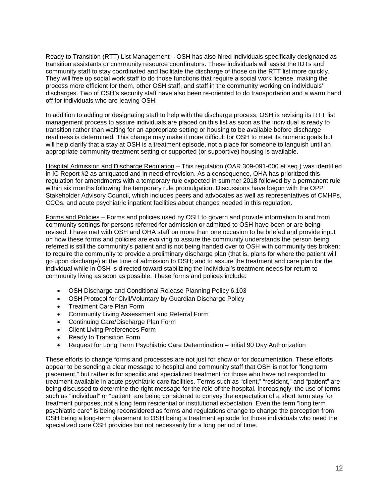Ready to Transition (RTT) List Management – OSH has also hired individuals specifically designated as transition assistants or community resource coordinators. These individuals will assist the IDTs and community staff to stay coordinated and facilitate the discharge of those on the RTT list more quickly. They will free up social work staff to do those functions that require a social work license, making the process more efficient for them, other OSH staff, and staff in the community working on individuals' discharges. Two of OSH's security staff have also been re-oriented to do transportation and a warm hand off for individuals who are leaving OSH.

In addition to adding or designating staff to help with the discharge process, OSH is revising its RTT list management process to assure individuals are placed on this list as soon as the individual is ready to transition rather than waiting for an appropriate setting or housing to be available before discharge readiness is determined. This change may make it more difficult for OSH to meet its numeric goals but will help clarify that a stay at OSH is a treatment episode, not a place for someone to languish until an appropriate community treatment setting or supported (or supportive) housing is available.

Hospital Admission and Discharge Regulation – This regulation (OAR 309-091-000 et seq.) was identified in IC Report #2 as antiquated and in need of revision. As a consequence, OHA has prioritized this regulation for amendments with a temporary rule expected in summer 2018 followed by a permanent rule within six months following the temporary rule promulgation. Discussions have begun with the OPP Stakeholder Advisory Council, which includes peers and advocates as well as representatives of CMHPs, CCOs, and acute psychiatric inpatient facilities about changes needed in this regulation.

Forms and Policies – Forms and policies used by OSH to govern and provide information to and from community settings for persons referred for admission or admitted to OSH have been or are being revised. I have met with OSH and OHA staff on more than one occasion to be briefed and provide input on how these forms and policies are evolving to assure the community understands the person being referred is still the community's patient and is not being handed over to OSH with community ties broken; to require the community to provide a preliminary discharge plan (that is, plans for where the patient will go upon discharge) at the time of admission to OSH; and to assure the treatment and care plan for the individual while in OSH is directed toward stabilizing the individual's treatment needs for return to community living as soon as possible. These forms and polices include:

- OSH Discharge and Conditional Release Planning Policy 6.103
- OSH Protocol for Civil/Voluntary by Guardian Discharge Policy
- Treatment Care Plan Form
- Community Living Assessment and Referral Form
- Continuing Care/Discharge Plan Form
- Client Living Preferences Form
- Ready to Transition Form
- Request for Long Term Psychiatric Care Determination Initial 90 Day Authorization

These efforts to change forms and processes are not just for show or for documentation. These efforts appear to be sending a clear message to hospital and community staff that OSH is not for "long term placement," but rather is for specific and specialized treatment for those who have not responded to treatment available in acute psychiatric care facilities. Terms such as "client," "resident," and "patient" are being discussed to determine the right message for the role of the hospital. Increasingly, the use of terms such as "individual" or "patient" are being considered to convey the expectation of a short term stay for treatment purposes, not a long term residential or institutional expectation. Even the term "long term psychiatric care" is being reconsidered as forms and regulations change to change the perception from OSH being a long-term placement to OSH being a treatment episode for those individuals who need the specialized care OSH provides but not necessarily for a long period of time.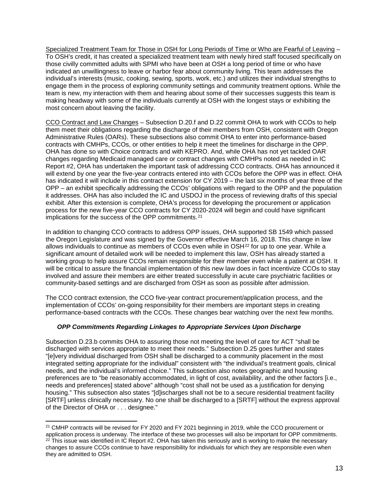Specialized Treatment Team for Those in OSH for Long Periods of Time or Who are Fearful of Leaving – To OSH's credit, it has created a specialized treatment team with newly hired staff focused specifically on those civilly committed adults with SPMI who have been at OSH a long period of time or who have indicated an unwillingness to leave or harbor fear about community living. This team addresses the individual's interests (music, cooking, sewing, sports, work, etc.) and utilizes their individual strengths to engage them in the process of exploring community settings and community treatment options. While the team is new, my interaction with them and hearing about some of their successes suggests this team is making headway with some of the individuals currently at OSH with the longest stays or exhibiting the most concern about leaving the facility.

CCO Contract and Law Changes – Subsection D.20.f and D.22 commit OHA to work with CCOs to help them meet their obligations regarding the discharge of their members from OSH, consistent with Oregon Administrative Rules (OARs). These subsections also commit OHA to enter into performance-based contracts with CMHPs, CCOs, or other entities to help it meet the timelines for discharge in the OPP. OHA has done so with Choice contracts and with KEPRO. And, while OHA has not yet tackled OAR changes regarding Medicaid managed care or contract changes with CMHPs noted as needed in IC Report #2, OHA has undertaken the important task of addressing CCO contracts. OHA has announced it will extend by one year the five-year contracts entered into with CCOs before the OPP was in effect. OHA has indicated it will include in this contract extension for CY 2019 – the last six months of year three of the OPP – an exhibit specifically addressing the CCOs' obligations with regard to the OPP and the population it addresses. OHA has also included the IC and USDOJ in the process of reviewing drafts of this special exhibit. After this extension is complete, OHA's process for developing the procurement or application process for the new five-year CCO contracts for CY 2020-2024 will begin and could have significant implications for the success of the OPP commitments.<sup>[21](#page-12-0)</sup>

In addition to changing CCO contracts to address OPP issues, OHA supported SB 1549 which passed the Oregon Legislature and was signed by the Governor effective March 16, 2018. This change in law allows individuals to continue as members of CCOs even while in  $OSH<sup>22</sup>$  $OSH<sup>22</sup>$  $OSH<sup>22</sup>$  for up to one year. While a significant amount of detailed work will be needed to implement this law, OSH has already started a working group to help assure CCOs remain responsible for their member even while a patient at OSH. It will be critical to assure the financial implementation of this new law does in fact incentivize CCOs to stay involved and assure their members are either treated successfully in acute care psychiatric facilities or community-based settings and are discharged from OSH as soon as possible after admission.

The CCO contract extension, the CCO five-year contract procurement/application process, and the implementation of CCOs' on-going responsibility for their members are important steps in creating performance-based contracts with the CCOs. These changes bear watching over the next few months.

## *OPP Commitments Regarding Linkages to Appropriate Services Upon Discharge*

Subsection D.23.b commits OHA to assuring those not meeting the level of care for ACT "shall be discharged with services appropriate to meet their needs." Subsection D.25 goes further and states "[e]very individual discharged from OSH shall be discharged to a community placement in the most integrated setting appropriate for the individual" consistent with "the individual's treatment goals, clinical needs, and the individual's informed choice." This subsection also notes geographic and housing preferences are to "be reasonably accommodated, in light of cost, availability, and the other factors [i.e., needs and preferences] stated above" although "cost shall not be used as a justification for denying housing." This subsection also states "[d]ischarges shall not be to a secure residential treatment facility [SRTF] unless clinically necessary. No one shall be discharged to a [SRTF] without the express approval of the Director of OHA or . . . designee."

<span id="page-12-1"></span><span id="page-12-0"></span><sup>&</sup>lt;sup>21</sup> CMHP contracts will be revised for FY 2020 and FY 2021 beginning in 2019, while the CCO procurement or application process is underway. The interface of these two processes will also be important for OPP commitments.  $^{22}$  This issue was identified in IC Report #2. OHA has taken this seriously and is working to make the necessary changes to assure CCOs continue to have responsibility for individuals for which they are responsible even when they are admitted to OSH.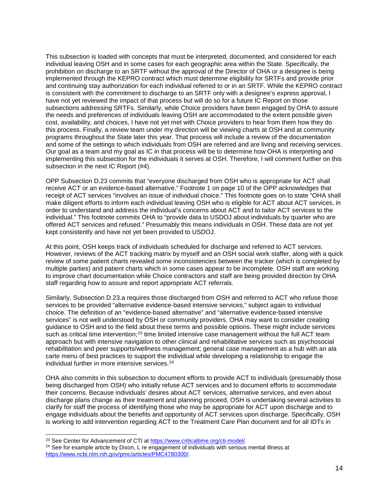This subsection is loaded with concepts that must be interpreted, documented, and considered for each individual leaving OSH and in some cases for each geographic area within the State. Specifically, the prohibition on discharge to an SRTF without the approval of the Director of OHA or a designee is being implemented through the KEPRO contract which must determine eligibility for SRTFs and provide prior and continuing stay authorization for each individual referred to or in an SRTF. While the KEPRO contract is consistent with the commitment to discharge to an SRTF only with a designee's express approval, I have not yet reviewed the impact of that process but will do so for a future IC Report on those subsections addressing SRTFs. Similarly, while Choice providers have been engaged by OHA to assure the needs and preferences of individuals leaving OSH are accommodated to the extent possible given cost, availability, and choices, I have not yet met with Choice providers to hear from them how they do this process. Finally, a review team under my direction will be viewing charts at OSH and at community programs throughout the State later this year. That process will include a review of the documentation and some of the settings to which individuals from OSH are referred and are living and receiving services. Our goal as a team and my goal as IC in that process will be to determine how OHA is interpreting and implementing this subsection for the individuals it serves at OSH. Therefore, I will comment further on this subsection in the next IC Report (#4).

OPP Subsection D.23 commits that "everyone discharged from OSH who is appropriate for ACT shall receive ACT or an evidence-based alternative." Footnote 1 on page 10 of the OPP acknowledges that receipt of ACT services "involves an issue of individual choice." This footnote goes on to state "OHA shall make diligent efforts to inform each individual leaving OSH who is eligible for ACT about ACT services, in order to understand and address the individual's concerns about ACT and to tailor ACT services to the individual." This footnote commits OHA to "provide data to USDOJ about individuals by quarter who are offered ACT services and refused." Presumably this means individuals in OSH. These data are not yet kept consistently and have not yet been provided to USDOJ.

At this point, OSH keeps track of individuals scheduled for discharge and referred to ACT services. However, reviews of the ACT tracking matrix by myself and an OSH social work staffer, along with a quick review of some patient charts revealed some inconsistencies between the tracker (which is completed by multiple parties) and patient charts which in some cases appear to be incomplete. OSH staff are working to improve chart documentation while Choice contractors and staff are being provided direction by OHA staff regarding how to assure and report appropriate ACT referrals.

Similarly, Subsection D.23.a requires those discharged from OSH and referred to ACT who refuse those services to be provided "alternative evidence-based intensive services," subject again to individual choice. The definition of an "evidence-based alternative" and "alternative evidence-based intensive services" is not well understood by OSH or community providers. OHA may want to consider creating guidance to OSH and to the field about these terms and possible options. These might include services such as critical time intervention;<sup>[23](#page-13-0)</sup> time limited intensive case management without the full ACT team approach but with intensive navigation to other clinical and rehabilitative services such as psychosocial rehabilitation and peer supports/wellness management; general case management as a hub with an ala carte menu of best practices to support the individual while developing a relationship to engage the individual further in more intensive services.<sup>[24](#page-13-1)</sup>

OHA also commits in this subsection to document efforts to provide ACT to individuals (presumably those being discharged from OSH) who initially refuse ACT services and to document efforts to accommodate their concerns. Because individuals' desires about ACT services, alternative services, and even about discharge plans change as their treatment and planning proceed, OSH is undertaking several activities to clarify for staff the process of identifying those who may be appropriate for ACT upon discharge and to engage individuals about the benefits and opportunity of ACT services upon discharge. Specifically, OSH is working to add intervention regarding ACT to the Treatment Care Plan document and for all IDTs in

<span id="page-13-1"></span><span id="page-13-0"></span><sup>&</sup>lt;sup>23</sup> See Center for Advancement of CTI at https://www.criticaltime.org/cti-model/.<br><sup>24</sup> See for example article by Dixon, L re engagement of individuals with serious mental illness at [https://www.ncbi.nlm.nih.gov/pmc/articles/PMC4780300/.](https://www.ncbi.nlm.nih.gov/pmc/articles/PMC4780300/)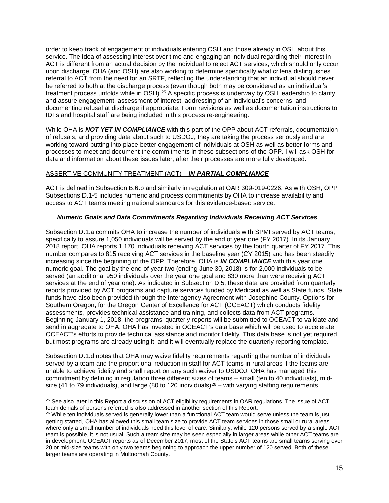order to keep track of engagement of individuals entering OSH and those already in OSH about this service. The idea of assessing interest over time and engaging an individual regarding their interest in ACT is different from an actual decision by the individual to reject ACT services, which should only occur upon discharge. OHA (and OSH) are also working to determine specifically what criteria distinguishes referral to ACT from the need for an SRTF, reflecting the understanding that an individual should never be referred to both at the discharge process (even though both may be considered as an individual's treatment process unfolds while in OSH).[25](#page-14-0) A specific process is underway by OSH leadership to clarify and assure engagement, assessment of interest, addressing of an individual's concerns, and documenting refusal at discharge if appropriate. Form revisions as well as documentation instructions to IDTs and hospital staff are being included in this process re-engineering.

While OHA is *NOT YET IN COMPLIANCE* with this part of the OPP about ACT referrals, documentation of refusals, and providing data about such to USDOJ, they are taking the process seriously and are working toward putting into place better engagement of individuals at OSH as well as better forms and processes to meet and document the commitments in these subsections of the OPP. I will ask OSH for data and information about these issues later, after their processes are more fully developed.

### ASSERTIVE COMMUNITY TREATMENT (ACT) – *IN PARTIAL COMPLIANCE*

ACT is defined in Subsection B.6.b and similarly in regulation at OAR 309-019-0226. As with OSH, OPP Subsections D.1-5 includes numeric and process commitments by OHA to increase availability and access to ACT teams meeting national standards for this evidence-based service.

### *Numeric Goals and Data Commitments Regarding Individuals Receiving ACT Services*

Subsection D.1.a commits OHA to increase the number of individuals with SPMI served by ACT teams, specifically to assure 1,050 individuals will be served by the end of year one (FY 2017). In its January 2018 report, OHA reports 1,170 individuals receiving ACT services by the fourth quarter of FY 2017. This number compares to 815 receiving ACT services in the baseline year (CY 2015) and has been steadily increasing since the beginning of the OPP. Therefore, OHA is *IN COMPLIANCE* with this year one numeric goal. The goal by the end of year two (ending June 30, 2018) is for 2,000 individuals to be served (an additional 950 individuals over the year one goal and 830 more than were receiving ACT services at the end of year one). As indicated in Subsection D.5, these data are provided from quarterly reports provided by ACT programs and capture services funded by Medicaid as well as State funds. State funds have also been provided through the Interagency Agreement with Josephine County, Options for Southern Oregon, for the Oregon Center of Excellence for ACT (OCEACT) which conducts fidelity assessments, provides technical assistance and training, and collects data from ACT programs. Beginning January 1, 2018, the programs' quarterly reports will be submitted to OCEACT to validate and send in aggregate to OHA. OHA has invested in OCEACT's data base which will be used to accelerate OCEACT's efforts to provide technical assistance and monitor fidelity. This data base is not yet required, but most programs are already using it, and it will eventually replace the quarterly reporting template.

Subsection D.1.d notes that OHA may waive fidelity requirements regarding the number of individuals served by a team and the proportional reduction in staff for ACT teams in rural areas if the teams are unable to achieve fidelity and shall report on any such waiver to USDOJ. OHA has managed this commitment by defining in regulation three different sizes of teams – small (ten to 40 individuals), mid-size (41 to 79 individuals), and large (80 to 120 individuals)<sup>[26](#page-14-1)</sup> – with varying staffing requirements

<span id="page-14-0"></span><sup>&</sup>lt;sup>25</sup> See also later in this Report a discussion of ACT eligibility requirements in OAR regulations. The issue of ACT team denials of persons referred is also addressed in another section of this Report.

<span id="page-14-1"></span><sup>&</sup>lt;sup>26</sup> While ten individuals served is generally lower than a functional ACT team would serve unless the team is just getting started, OHA has allowed this small team size to provide ACT team services in those small or rural areas where only a small number of individuals need this level of care. Similarly, while 120 persons served by a single ACT team is possible, it is not usual. Such a team size may be seen especially in larger areas while other ACT teams are in development. OCEACT reports as of December 2017, most of the State's ACT teams are small teams serving over 20 or mid-size teams with only two teams beginning to approach the upper number of 120 served. Both of these larger teams are operating in Multnomah County.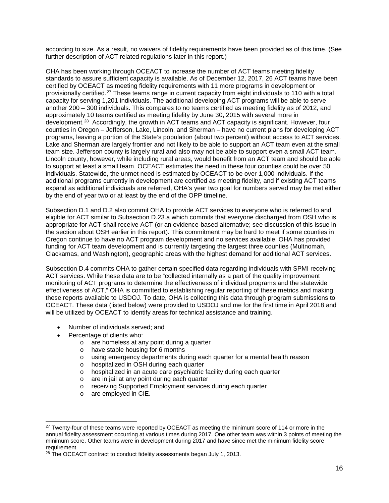according to size. As a result, no waivers of fidelity requirements have been provided as of this time. (See further description of ACT related regulations later in this report.)

OHA has been working through OCEACT to increase the number of ACT teams meeting fidelity standards to assure sufficient capacity is available. As of December 12, 2017, 26 ACT teams have been certified by OCEACT as meeting fidelity requirements with 11 more programs in development or provisionally certified.[27](#page-15-0) These teams range in current capacity from eight individuals to 110 with a total capacity for serving 1,201 individuals. The additional developing ACT programs will be able to serve another 200 – 300 individuals. This compares to no teams certified as meeting fidelity as of 2012, and approximately 10 teams certified as meeting fidelity by June 30, 2015 with several more in development.[28](#page-15-1) Accordingly, the growth in ACT teams and ACT capacity is significant. However, four counties in Oregon – Jefferson, Lake, Lincoln, and Sherman – have no current plans for developing ACT programs, leaving a portion of the State's population (about two percent) without access to ACT services. Lake and Sherman are largely frontier and not likely to be able to support an ACT team even at the small team size. Jefferson county is largely rural and also may not be able to support even a small ACT team. Lincoln county, however, while including rural areas, would benefit from an ACT team and should be able to support at least a small team. OCEACT estimates the need in these four counties could be over 50 individuals. Statewide, the unmet need is estimated by OCEACT to be over 1,000 individuals. If the additional programs currently in development are certified as meeting fidelity, and if existing ACT teams expand as additional individuals are referred, OHA's year two goal for numbers served may be met either by the end of year two or at least by the end of the OPP timeline.

Subsection D.1 and D.2 also commit OHA to provide ACT services to everyone who is referred to and eligible for ACT similar to Subsection D.23.a which commits that everyone discharged from OSH who is appropriate for ACT shall receive ACT (or an evidence-based alternative; see discussion of this issue in the section about OSH earlier in this report). This commitment may be hard to meet if some counties in Oregon continue to have no ACT program development and no services available. OHA has provided funding for ACT team development and is currently targeting the largest three counties (Multnomah, Clackamas, and Washington), geographic areas with the highest demand for additional ACT services.

Subsection D.4 commits OHA to gather certain specified data regarding individuals with SPMI receiving ACT services. While these data are to be "collected internally as a part of the quality improvement monitoring of ACT programs to determine the effectiveness of individual programs and the statewide effectiveness of ACT," OHA is committed to establishing regular reporting of these metrics and making these reports available to USDOJ. To date, OHA is collecting this data through program submissions to OCEACT. These data (listed below) were provided to USDOJ and me for the first time in April 2018 and will be utilized by OCEACT to identify areas for technical assistance and training.

- Number of individuals served; and
- Percentage of clients who:
	- o are homeless at any point during a quarter
	- o have stable housing for 6 months<br>o using emergency departments dur
	- o using emergency departments during each quarter for a mental health reason<br>
	o hospitalized in OSH during each quarter
	- hospitalized in OSH during each quarter
	- $\circ$  hospitalized in an acute care psychiatric facility during each quarter  $\circ$  are in iail at any point during each quarter
	- are in jail at any point during each quarter
	- o receiving Supported Employment services during each quarter
	- o are employed in CIE.

<span id="page-15-0"></span><sup>&</sup>lt;sup>27</sup> Twenty-four of these teams were reported by OCEACT as meeting the minimum score of 114 or more in the annual fidelity assessment occurring at various times during 2017. One other team was within 3 points of meeting the minimum score. Other teams were in development during 2017 and have since met the minimum fidelity score requirement.

<span id="page-15-1"></span> $28$  The OCEACT contract to conduct fidelity assessments began July 1, 2013.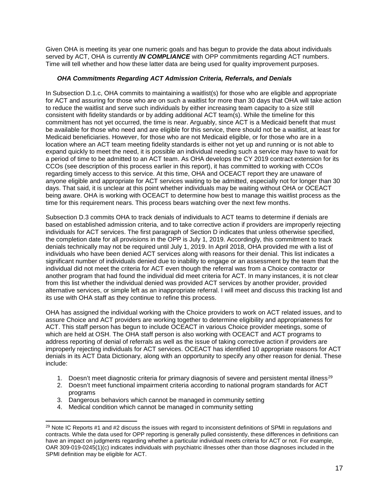Given OHA is meeting its year one numeric goals and has begun to provide the data about individuals served by ACT, OHA is currently *IN COMPLIANCE* with OPP commitments regarding ACT numbers. Time will tell whether and how these latter data are being used for quality improvement purposes.

## *OHA Commitments Regarding ACT Admission Criteria, Referrals, and Denials*

In Subsection D.1.c, OHA commits to maintaining a waitlist(s) for those who are eligible and appropriate for ACT and assuring for those who are on such a waitlist for more than 30 days that OHA will take action to reduce the waitlist and serve such individuals by either increasing team capacity to a size still consistent with fidelity standards or by adding additional ACT team(s). While the timeline for this commitment has not yet occurred, the time is near. Arguably, since ACT is a Medicaid benefit that must be available for those who need and are eligible for this service, there should not be a waitlist, at least for Medicaid beneficiaries. However, for those who are not Medicaid eligible, or for those who are in a location where an ACT team meeting fidelity standards is either not yet up and running or is not able to expand quickly to meet the need, it is possible an individual needing such a service may have to wait for a period of time to be admitted to an ACT team. As OHA develops the CY 2019 contract extension for its CCOs (see description of this process earlier in this report), it has committed to working with CCOs regarding timely access to this service. At this time, OHA and OCEACT report they are unaware of anyone eligible and appropriate for ACT services waiting to be admitted, especially not for longer than 30 days. That said, it is unclear at this point whether individuals may be waiting without OHA or OCEACT being aware. OHA is working with OCEACT to determine how best to manage this waitlist process as the time for this requirement nears. This process bears watching over the next few months.

Subsection D.3 commits OHA to track denials of individuals to ACT teams to determine if denials are based on established admission criteria, and to take corrective action if providers are improperly rejecting individuals for ACT services. The first paragraph of Section D indicates that unless otherwise specified, the completion date for all provisions in the OPP is July 1, 2019. Accordingly, this commitment to track denials technically may not be required until July 1, 2019. In April 2018, OHA provided me with a list of individuals who have been denied ACT services along with reasons for their denial. This list indicates a significant number of individuals denied due to inability to engage or an assessment by the team that the individual did not meet the criteria for ACT even though the referral was from a Choice contractor or another program that had found the individual did meet criteria for ACT. In many instances, it is not clear from this list whether the individual denied was provided ACT services by another provider, provided alternative services, or simple left as an inappropriate referral. I will meet and discuss this tracking list and its use with OHA staff as they continue to refine this process.

OHA has assigned the individual working with the Choice providers to work on ACT related issues, and to assure Choice and ACT providers are working together to determine eligibility and appropriateness for ACT. This staff person has begun to include OCEACT in various Choice provider meetings, some of which are held at OSH. The OHA staff person is also working with OCEACT and ACT programs to address reporting of denial of referrals as well as the issue of taking corrective action if providers are improperly rejecting individuals for ACT services. OCEACT has identified 10 appropriate reasons for ACT denials in its ACT Data Dictionary, along with an opportunity to specify any other reason for denial. These include:

- 1. Doesn't meet diagnostic criteria for primary diagnosis of severe and persistent mental illness<sup>[29](#page-16-0)</sup>
- 2. Doesn't meet functional impairment criteria according to national program standards for ACT programs
- 3. Dangerous behaviors which cannot be managed in community setting
- 4. Medical condition which cannot be managed in community setting

<span id="page-16-0"></span><sup>&</sup>lt;sup>29</sup> Note IC Reports #1 and #2 discuss the issues with regard to inconsistent definitions of SPMI in regulations and contracts. While the data used for OPP reporting is generally pulled consistently, these differences in definitions can have an impact on judgments regarding whether a particular individual meets criteria for ACT or not. For example, OAR 309-019-0245(1)(c) indicates individuals with psychiatric illnesses other than those diagnoses included in the SPMI definition may be eligible for ACT.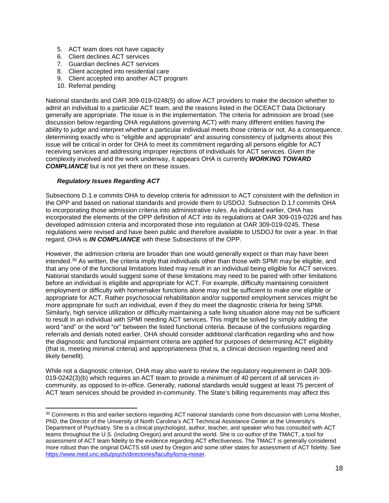- 5. ACT team does not have capacity
- 6. Client declines ACT services
- 7. Guardian declines ACT services
- 8. Client accepted into residential care
- 9. Client accepted into another ACT program
- 10. Referral pending

National standards and OAR 309-019-0248(5) do allow ACT providers to make the decision whether to admit an individual to a particular ACT team, and the reasons listed in the OCEACT Data Dictionary generally are appropriate. The issue is in the implementation. The criteria for admission are broad (see discussion below regarding OHA regulations governing ACT) with many different entities having the ability to judge and interpret whether a particular individual meets those criteria or not. As a consequence, determining exactly who is "eligible and appropriate" and assuring consistency of judgments about this issue will be critical in order for OHA to meet its commitment regarding all persons eligible for ACT receiving services and addressing improper rejections of individuals for ACT services. Given the complexity involved and the work underway, it appears OHA is currently *WORKING TOWARD COMPLIANCE* but is not yet there on these issues.

### *Regulatory Issues Regarding ACT*

Subsections D.1.e commits OHA to develop criteria for admission to ACT consistent with the definition in the OPP and based on national standards and provide them to USDOJ. Subsection D.1.f commits OHA to incorporating those admission criteria into administrative rules. As indicated earlier, OHA has incorporated the elements of the OPP definition of ACT into its regulations at OAR 309-019-0226 and has developed admission criteria and incorporated those into regulation at OAR 309-019-0245. These regulations were revised and have been public and therefore available to USDOJ for over a year. In that regard, OHA is *IN COMPLIANCE* with these Subsections of the OPP.

However, the admission criteria are broader than one would generally expect or than may have been intended.[30](#page-17-0) As written, the criteria imply that individuals other than those with SPMI may be eligible, and that any one of the functional limitations listed may result in an individual being eligible for ACT services. National standards would suggest some of these limitations may need to be paired with other limitations before an individual is eligible and appropriate for ACT. For example, difficulty maintaining consistent employment or difficulty with homemaker functions alone may not be sufficient to make one eligible or appropriate for ACT. Rather psychosocial rehabilitation and/or supported employment services might be more appropriate for such an individual, even if they do meet the diagnostic criteria for being SPMI. Similarly, high service utilization or difficulty maintaining a safe living situation alone may not be sufficient to result in an individual with SPMI needing ACT services. This might be solved by simply adding the word "and" or the word "or" between the listed functional criteria. Because of the confusions regarding referrals and denials noted earlier, OHA should consider additional clarification regarding who and how the diagnostic and functional impairment criteria are applied for purposes of determining ACT eligibility (that is, meeting minimal criteria) and appropriateness (that is, a clinical decision regarding need and likely benefit).

While not a diagnostic criterion, OHA may also want to review the regulatory requirement in OAR 309- 019-0242(3)(b) which requires an ACT team to provide a minimum of 40 percent of all services incommunity, as opposed to in-office. Generally, national standards would suggest at least 75 percent of ACT team services should be provided in-community. The State's billing requirements may affect this

<span id="page-17-0"></span> <sup>30</sup> Comments in this and earlier sections regarding ACT national standards come from discussion with Lorna Mosher, PhD, the Director of the University of North Carolina's ACT Technical Assistance Center at the University's Department of Psychiatry. She is a clinical psychologist, author, teacher, and speaker who has consulted with ACT teams throughout the U.S. (including Oregon) and around the world. She is co-author of the TMACT, a tool for assessment of ACT team fidelity to the evidence regarding ACT effectiveness. The TMACT is generally considered more robust than the original DACTS still used by Oregon and some other states for assessment of ACT fidelity. See [https://www.med.unc.edu/psych/directories/faculty/lorna-moser.](https://www.med.unc.edu/psych/directories/faculty/lorna-moser)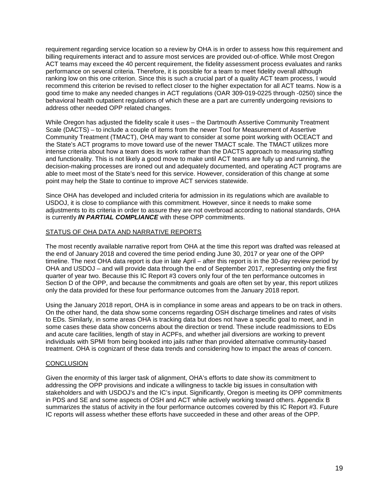requirement regarding service location so a review by OHA is in order to assess how this requirement and billing requirements interact and to assure most services are provided out-of-office. While most Oregon ACT teams may exceed the 40 percent requirement, the fidelity assessment process evaluates and ranks performance on several criteria. Therefore, it is possible for a team to meet fidelity overall although ranking low on this one criterion. Since this is such a crucial part of a quality ACT team process, I would recommend this criterion be revised to reflect closer to the higher expectation for all ACT teams. Now is a good time to make any needed changes in ACT regulations (OAR 309-019-0225 through -0250) since the behavioral health outpatient regulations of which these are a part are currently undergoing revisions to address other needed OPP related changes.

While Oregon has adjusted the fidelity scale it uses – the Dartmouth Assertive Community Treatment Scale (DACTS) – to include a couple of items from the newer Tool for Measurement of Assertive Community Treatment (TMACT), OHA may want to consider at some point working with OCEACT and the State's ACT programs to move toward use of the newer TMACT scale. The TMACT utilizes more intense criteria about how a team does its work rather than the DACTS approach to measuring staffing and functionality. This is not likely a good move to make until ACT teams are fully up and running, the decision-making processes are ironed out and adequately documented, and operating ACT programs are able to meet most of the State's need for this service. However, consideration of this change at some point may help the State to continue to improve ACT services statewide.

Since OHA has developed and included criteria for admission in its regulations which are available to USDOJ, it is close to compliance with this commitment. However, since it needs to make some adjustments to its criteria in order to assure they are not overbroad according to national standards, OHA is currently *IN PARTIAL COMPLIANCE* with these OPP commitments.

### STATUS OF OHA DATA AND NARRATIVE REPORTS

The most recently available narrative report from OHA at the time this report was drafted was released at the end of January 2018 and covered the time period ending June 30, 2017 or year one of the OPP timeline. The next OHA data report is due in late April – after this report is in the 30-day review period by OHA and USDOJ – and will provide data through the end of September 2017, representing only the first quarter of year two. Because this IC Report #3 covers only four of the ten performance outcomes in Section D of the OPP, and because the commitments and goals are often set by year, this report utilizes only the data provided for these four performance outcomes from the January 2018 report.

Using the January 2018 report, OHA is in compliance in some areas and appears to be on track in others. On the other hand, the data show some concerns regarding OSH discharge timelines and rates of visits to EDs. Similarly, in some areas OHA is tracking data but does not have a specific goal to meet, and in some cases these data show concerns about the direction or trend. These include readmissions to EDs and acute care facilities, length of stay in ACPFs, and whether jail diversions are working to prevent individuals with SPMI from being booked into jails rather than provided alternative community-based treatment. OHA is cognizant of these data trends and considering how to impact the areas of concern.

#### **CONCLUSION**

Given the enormity of this larger task of alignment, OHA's efforts to date show its commitment to addressing the OPP provisions and indicate a willingness to tackle big issues in consultation with stakeholders and with USDOJ's and the IC's input. Significantly, Oregon is meeting its OPP commitments in PDS and SE and some aspects of OSH and ACT while actively working toward others. Appendix B summarizes the status of activity in the four performance outcomes covered by this IC Report #3. Future IC reports will assess whether these efforts have succeeded in these and other areas of the OPP.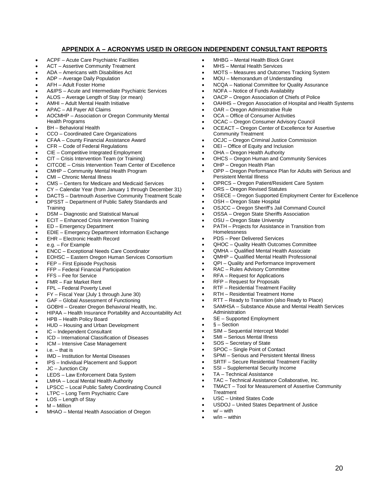## **APPENDIX A – ACRONYMS USED IN OREGON INDEPENDENT CONSULTANT REPORTS**

- ACPF Acute Care Psychiatric Facilities
- ACT Assertive Community Treatment
- ADA Americans with Disabilities Act
- ADP Average Daily Population
- AFH Adult Foster Home
- A&IPS Acute and Intermediate Psychiatric Services
- ALOS Average Length of Stay (or mean)
- AMHI Adult Mental Health Initiative
- APAC All Payer All Claims
- AOCMHP Association or Oregon Community Mental Health Programs
- BH Behavioral Health
- CCO Coordinated Care Organizations
- CFAA County Financial Assistance Award
- CFR Code of Federal Regulations
- CIE Competitive Integrated Employment
- CIT Crisis Intervention Team (or Training)
- CITCOE Crisis Intervention Team Center of Excellence
- CMHP Community Mental Health Program
- CMI Chronic Mental Illness
- CMS Centers for Medicare and Medicaid Services
- CY Calendar Year (from January 1 through December 31)
- DACTS Dartmouth Assertive Community Treatment Scale
- DPSST Department of Public Safety Standards and **Training**
- DSM Diagnostic and Statistical Manual
- ECIT Enhanced Crisis Intervention Training
- ED Emergency Department
- EDIE Emergency Department Information Exchange
- EHR Electronic Health Record
- e.g. For Example
- ENCC Exceptional Needs Care Coordinator
- EOHSC Eastern Oregon Human Services Consortium
- FEP First Episode Psychosis
- FFP Federal Financial Participation
- FFS Fee for Service
- FMR Fair Market Rent
- FPL Federal Poverty Level
- FY Fiscal Year (July 1 through June 30)
- GAF Global Assessment of Functioning
- GOBHI Greater Oregon Behavioral Health, Inc.
- HIPAA Health Insurance Portability and Accountability Act
- HPB Health Policy Board
- HUD Housing and Urban Development
- IC Independent Consultant
- ICD International Classification of Diseases
- ICM Intensive Case Management
- $i.e. that is$
- IMD Institution for Mental Diseases
- IPS Individual Placement and Support
- JC Junction City
- LEDS Law Enforcement Data System
- LMHA Local Mental Health Authority
- LPSCC Local Public Safety Coordinating Council
- LTPC Long Term Psychiatric Care
- LOS Length of Stay
- M Million
- MHAO Mental Health Association of Oregon
- MHBG Mental Health Block Grant
- MHS Mental Health Services
- MOTS Measures and Outcomes Tracking System
- MOU Memorandum of Understanding
- NCQA National Committee for Quality Assurance
- NOFA Notice of Funds Availability
- OACP Oregon Association of Chiefs of Police
- OAHHS Oregon Association of Hospital and Health Systems
- OAR Oregon Administrative Rule
- OCA Office of Consumer Activities
- OCAC Oregon Consumer Advisory Council
- OCEACT Oregon Center of Excellence for Assertive Community Treatment
- OCJC Oregon Criminal Justice Commission
- OEI Office of Equity and Inclusion
- OHA Oregon Health Authority
- OHCS Oregon Human and Community Services
- OHP Oregon Health Plan
- OPP Oregon Performance Plan for Adults with Serious and Persistent Mental Illness
- OPRCS Oregon Patient/Resident Care System
- ORS Oregon Revised Statutes
- OSECE Oregon Supported Employment Center for Excellence
- OSH Oregon State Hospital
- OSJCC Oregon Sheriff's Jail Command Council
- OSSA Oregon State Sheriffs Association
- OSU Oregon State University
- PATH Projects for Assistance in Transition from **Homelessness**
- PDS Peer Delivered Services
- QHOC Quality Health Outcomes Committee
- QMHA Qualified Mental Health Associate
- QMHP Qualified Mental Health Professional
- QPI Quality and Performance Improvement
- RAC Rules Advisory Committee
- RFA Request for Applications
- RFP Request for Proposals
- RTF Residential Treatment Facility
- RTH Residential Treatment Home
- RTT Ready to Transition (also Ready to Place)

• SPMI – Serious and Persistent Mental Illness • SRTF – Secure Residential Treatment Facility • SSI – Supplemental Security Income TA - Technical Assistance

• TAC – Technical Assistance Collaborative, Inc.

• USDOJ – United States Department of Justice

• TMACT – Tool for Measurement of Assertive Community

• SAMHSA – Substance Abuse and Mental Health Services Administration

20

- SE Supported Employment
- $\bullet$   $\bullet$  Section

**Treatment** 

 $w'$  – with  $w/in - within$ 

SIM - Sequential Intercept Model

• USC – United States Code

- SMI Serious Mental Illness
- SOS Secretary of State • SPOC – Single Point of Contact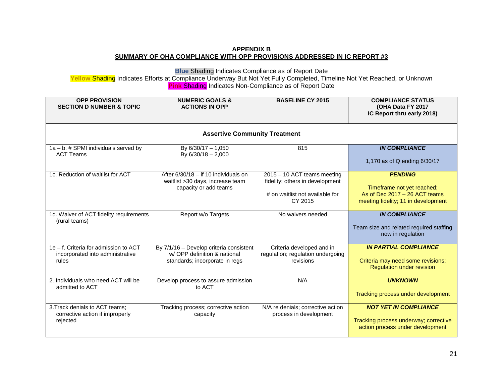## **APPENDIX B SUMMARY OF OHA COMPLIANCE WITH OPP PROVISIONS ADDRESSED IN IC REPORT #3**

**Blue** Shading Indicates Compliance as of Report Date

**Yellow** Shading Indicates Efforts at Compliance Underway But Not Yet Fully Completed, Timeline Not Yet Reached, or Unknown **Pink** Shading Indicates Non-Compliance as of Report Date

| <b>OPP PROVISION</b><br><b>SECTION D NUMBER &amp; TOPIC</b>                        | <b>NUMERIC GOALS &amp;</b><br><b>ACTIONS IN OPP</b>                                                       | <b>BASELINE CY 2015</b>                                                                                      | <b>COMPLIANCE STATUS</b><br>(OHA Data FY 2017<br>IC Report thru early 2018)                                            |  |  |
|------------------------------------------------------------------------------------|-----------------------------------------------------------------------------------------------------------|--------------------------------------------------------------------------------------------------------------|------------------------------------------------------------------------------------------------------------------------|--|--|
| <b>Assertive Community Treatment</b>                                               |                                                                                                           |                                                                                                              |                                                                                                                        |  |  |
| 1a - b. # SPMI individuals served by<br><b>ACT Teams</b>                           | By $6/30/17 - 1,050$<br>By 6/30/18 - 2,000                                                                | 815                                                                                                          | <b>IN COMPLIANCE</b><br>1,170 as of Q ending 6/30/17                                                                   |  |  |
| 1c. Reduction of waitlist for ACT                                                  | After $6/30/18 -$ if 10 individuals on<br>waitlist >30 days, increase team<br>capacity or add teams       | 2015 - 10 ACT teams meeting<br>fidelity; others in development<br># on waitlist not available for<br>CY 2015 | <b>PENDING</b><br>Timeframe not yet reached;<br>As of Dec $2017 - 26$ ACT teams<br>meeting fidelity; 11 in development |  |  |
| 1d. Waiver of ACT fidelity requirements<br>(rural teams)                           | Report w/o Targets                                                                                        | No waivers needed                                                                                            | <b>IN COMPLIANCE</b><br>Team size and related required staffing<br>now in regulation                                   |  |  |
| 1e - f. Criteria for admission to ACT<br>incorporated into administrative<br>rules | By 7/1/16 - Develop criteria consistent<br>w/ OPP definition & national<br>standards; incorporate in regs | Criteria developed and in<br>regulation; regulation undergoing<br>revisions                                  | <b>IN PARTIAL COMPLIANCE</b><br>Criteria may need some revisions;<br><b>Regulation under revision</b>                  |  |  |
| 2. Individuals who need ACT will be<br>admitted to ACT                             | Develop process to assure admission<br>to ACT                                                             | N/A                                                                                                          | <b>UNKNOWN</b><br>Tracking process under development                                                                   |  |  |
| 3. Track denials to ACT teams;<br>corrective action if improperly<br>rejected      | Tracking process; corrective action<br>capacity                                                           | N/A re denials; corrective action<br>process in development                                                  | <b>NOT YET IN COMPLIANCE</b><br>Tracking process underway; corrective<br>action process under development              |  |  |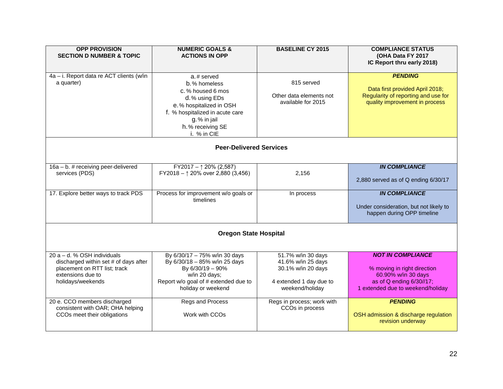| <b>OPP PROVISION</b>                     | <b>NUMERIC GOALS &amp;</b>                 | <b>BASELINE CY 2015</b>    | <b>COMPLIANCE STATUS</b>               |  |
|------------------------------------------|--------------------------------------------|----------------------------|----------------------------------------|--|
| <b>SECTION D NUMBER &amp; TOPIC</b>      | <b>ACTIONS IN OPP</b>                      |                            | (OHA Data FY 2017                      |  |
|                                          |                                            |                            | IC Report thru early 2018)             |  |
|                                          |                                            |                            |                                        |  |
| 4a - i. Report data re ACT clients (w/in | $a.$ # served                              |                            | <b>PENDING</b>                         |  |
| a quarter)                               |                                            | 815 served                 |                                        |  |
|                                          | b.% homeless                               |                            |                                        |  |
|                                          | c. % housed 6 mos                          |                            | Data first provided April 2018;        |  |
|                                          | d. % using EDs                             | Other data elements not    | Regularity of reporting and use for    |  |
|                                          | e.% hospitalized in OSH                    | available for 2015         | quality improvement in process         |  |
|                                          | f. % hospitalized in acute care            |                            |                                        |  |
|                                          |                                            |                            |                                        |  |
|                                          | g.% in jail                                |                            |                                        |  |
|                                          | h. % receiving SE                          |                            |                                        |  |
|                                          | i. % in CIE                                |                            |                                        |  |
|                                          |                                            |                            |                                        |  |
| <b>Peer-Delivered Services</b>           |                                            |                            |                                        |  |
|                                          |                                            |                            |                                        |  |
|                                          |                                            |                            |                                        |  |
| $16a - b$ . # receiving peer-delivered   | FY2017 - $\uparrow$ 20% (2,587)            |                            | <b>IN COMPLIANCE</b>                   |  |
| services (PDS)                           | FY2018 - $\uparrow$ 20% over 2,880 (3,456) | 2,156                      |                                        |  |
|                                          |                                            |                            | 2,880 served as of Q ending 6/30/17    |  |
|                                          |                                            |                            |                                        |  |
| 17. Explore better ways to track PDS     | Process for improvement w/o goals or       | In process                 | <b>IN COMPLIANCE</b>                   |  |
|                                          | timelines                                  |                            |                                        |  |
|                                          |                                            |                            |                                        |  |
|                                          |                                            |                            | Under consideration, but not likely to |  |
|                                          |                                            |                            | happen during OPP timeline             |  |
|                                          |                                            |                            |                                        |  |
|                                          |                                            |                            |                                        |  |
|                                          | <b>Oregon State Hospital</b>               |                            |                                        |  |
|                                          |                                            |                            |                                        |  |
|                                          |                                            |                            |                                        |  |
| 20 $a - d$ . % OSH individuals           | By 6/30/17 - 75% w/in 30 days              | 51.7% w/in 30 days         | <b>NOT IN COMPLIANCE</b>               |  |
| discharged within set # of days after    | By 6/30/18 - 85% w/in 25 days              | 41.6% w/in 25 days         |                                        |  |
| placement on RTT list; track             | By 6/30/19 - 90%                           | 30.1% w/in 20 days         | % moving in right direction            |  |
|                                          |                                            |                            |                                        |  |
| extensions due to                        | w/in 20 days;                              |                            | 60.90% w/in 30 days                    |  |
| holidays/weekends                        | Report w/o goal of # extended due to       | 4 extended 1 day due to    | as of Q ending 6/30//17;               |  |
|                                          | holiday or weekend                         | weekend/holiday            | 1 extended due to weekend/holiday      |  |
|                                          |                                            |                            |                                        |  |
| 20 e. CCO members discharged             | Regs and Process                           | Regs in process; work with | <b>PENDING</b>                         |  |
| consistent with OAR; OHA helping         |                                            | CCOs in process            |                                        |  |
| CCOs meet their obligations              | Work with CCOs                             |                            | OSH admission & discharge regulation   |  |
|                                          |                                            |                            | revision underway                      |  |
|                                          |                                            |                            |                                        |  |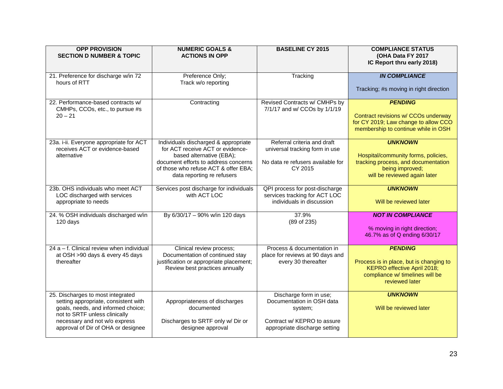| <b>OPP PROVISION</b><br><b>SECTION D NUMBER &amp; TOPIC</b>                                                                                                                                                             | <b>NUMERIC GOALS &amp;</b><br><b>ACTIONS IN OPP</b>                                                                                                                                                                | <b>BASELINE CY 2015</b>                                                                                                        | <b>COMPLIANCE STATUS</b><br>(OHA Data FY 2017<br>IC Report thru early 2018)                                                                     |
|-------------------------------------------------------------------------------------------------------------------------------------------------------------------------------------------------------------------------|--------------------------------------------------------------------------------------------------------------------------------------------------------------------------------------------------------------------|--------------------------------------------------------------------------------------------------------------------------------|-------------------------------------------------------------------------------------------------------------------------------------------------|
| 21. Preference for discharge w/in 72<br>hours of RTT                                                                                                                                                                    | Preference Only;<br>Track w/o reporting                                                                                                                                                                            | Tracking                                                                                                                       | <b>IN COMPLIANCE</b><br>Tracking; #s moving in right direction                                                                                  |
| 22. Performance-based contracts w/<br>CMHPs, CCOs, etc., to pursue #s<br>$20 - 21$                                                                                                                                      | Contracting                                                                                                                                                                                                        | Revised Contracts w/ CMHPs by<br>7/1/17 and w/ CCOs by 1/1/19                                                                  | <b>PENDING</b><br>Contract revisions w/ CCOs underway<br>for CY 2019; Law change to allow CCO<br>membership to continue while in OSH            |
| 23a. i-ii. Everyone appropriate for ACT<br>receives ACT or evidence-based<br>alternative                                                                                                                                | Individuals discharged & appropriate<br>for ACT receive ACT or evidence-<br>based alternative (EBA);<br>document efforts to address concerns<br>of those who refuse ACT & offer EBA;<br>data reporting re refusers | Referral criteria and draft<br>universal tracking form in use<br>No data re refusers available for<br>CY 2015                  | <b>UNKNOWN</b><br>Hospital/community forms, policies,<br>tracking process, and documentation<br>being improved;<br>will be reviewed again later |
| 23b. OHS individuals who meet ACT<br>LOC discharged with services<br>appropriate to needs                                                                                                                               | Services post discharge for individuals<br>with ACT LOC                                                                                                                                                            | QPI process for post-discharge<br>services tracking for ACT LOC<br>individuals in discussion                                   | <b>UNKNOWN</b><br>Will be reviewed later                                                                                                        |
| 24. % OSH individuals discharged w/in<br>120 days                                                                                                                                                                       | By 6/30/17 - 90% w/in 120 days                                                                                                                                                                                     | 37.9%<br>(89 of 235)                                                                                                           | <b>NOT IN COMPLIANCE</b><br>% moving in right direction;<br>46.7% as of Q ending 6/30/17                                                        |
| $24a - f$ . Clinical review when individual<br>at OSH >90 days & every 45 days<br>thereafter                                                                                                                            | Clinical review process;<br>Documentation of continued stay<br>justification or appropriate placement;<br>Review best practices annually                                                                           | Process & documentation in<br>place for reviews at 90 days and<br>every 30 thereafter                                          | <b>PENDING</b><br>Process is in place, but is changing to<br>KEPRO effective April 2018;<br>compliance w/ timelines will be<br>reviewed later   |
| 25. Discharges to most integrated<br>setting appropriate, consistent with<br>goals, needs, and informed choice;<br>not to SRTF unless clinically<br>necessary and not w/o express<br>approval of Dir of OHA or designee | Appropriateness of discharges<br>documented<br>Discharges to SRTF only w/ Dir or<br>designee approval                                                                                                              | Discharge form in use;<br>Documentation in OSH data<br>system;<br>Contract w/ KEPRO to assure<br>appropriate discharge setting | <b>UNKNOWN</b><br>Will be reviewed later                                                                                                        |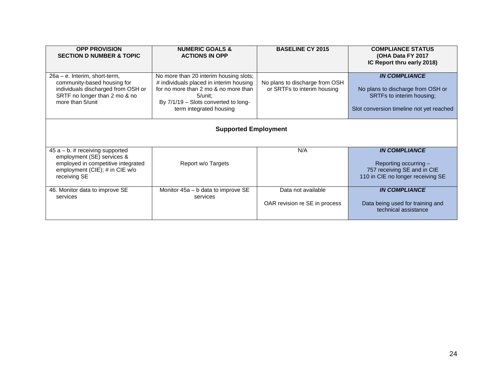| <b>OPP PROVISION</b><br><b>SECTION D NUMBER &amp; TOPIC</b>                                                                                                | <b>NUMERIC GOALS &amp;</b><br><b>ACTIONS IN OPP</b>                                                                                                                                                        | <b>BASELINE CY 2015</b>                                       | <b>COMPLIANCE STATUS</b><br>(OHA Data FY 2017<br>IC Report thru early 2018)                                                        |  |  |
|------------------------------------------------------------------------------------------------------------------------------------------------------------|------------------------------------------------------------------------------------------------------------------------------------------------------------------------------------------------------------|---------------------------------------------------------------|------------------------------------------------------------------------------------------------------------------------------------|--|--|
| $26a - e$ . Interim, short-term,<br>community-based housing for<br>individuals discharged from OSH or<br>SRTF no longer than 2 mo & no<br>more than 5/unit | No more than 20 interim housing slots;<br># individuals placed in interim housing<br>for no more than 2 mo & no more than<br>$5/$ unit;<br>By 7/1/19 - Slots converted to long-<br>term integrated housing | No plans to discharge from OSH<br>or SRTFs to interim housing | <b>IN COMPLIANCE</b><br>No plans to discharge from OSH or<br>SRTFs to interim housing;<br>Slot conversion timeline not yet reached |  |  |
| <b>Supported Employment</b>                                                                                                                                |                                                                                                                                                                                                            |                                                               |                                                                                                                                    |  |  |
| $45 a - b$ . # receiving supported<br>employment (SE) services &<br>employed in competitive integrated<br>employment (CIE); # in CIE w/o<br>receiving SE   | Report w/o Targets                                                                                                                                                                                         | N/A                                                           | <b>IN COMPLIANCE</b><br>Reporting occurring -<br>757 receiving SE and in CIE<br>110 in CIE no longer receiving SE                  |  |  |
| 46. Monitor data to improve SE<br>services                                                                                                                 | Monitor $45a - b$ data to improve SE<br>services                                                                                                                                                           | Data not available<br>OAR revision re SE in process           | <b>IN COMPLIANCE</b><br>Data being used for training and<br>technical assistance                                                   |  |  |